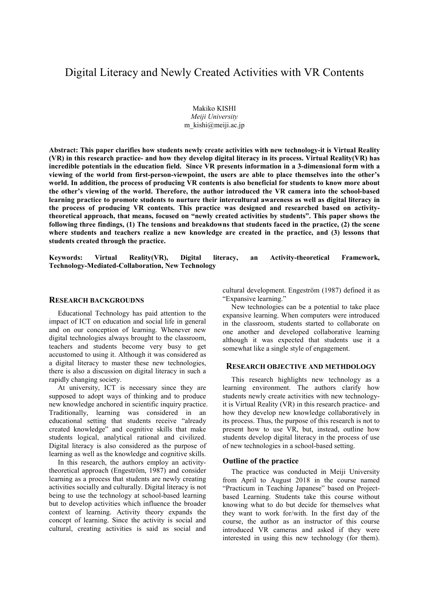# Digital Literacy and Newly Created Activities with VR Contents

Makiko KISHI *Meiji University* m\_kishi@meiji.ac.jp

**Abstract: This paper clarifies how students newly create activities with new technology-it is Virtual Reality (VR) in this research practice- and how they develop digital literacy in its process. Virtual Reality(VR) has incredible potentials in the education field. Since VR presents information in a 3-dimensional form with a viewing of the world from first-person-viewpoint, the users are able to place themselves into the other's world. In addition, the process of producing VR contents is also beneficial for students to know more about the other's viewing of the world. Therefore, the author introduced the VR camera into the school-based learning practice to promote students to nurture their intercultural awareness as well as digital literacy in the process of producing VR contents. This practice was designed and researched based on activitytheoretical approach, that means, focused on "newly created activities by students". This paper shows the following three findings, (1) The tensions and breakdowns that students faced in the practice, (2) the scene where students and teachers realize a new knowledge are created in the practice, and (3) lessons that students created through the practice.** 

**Keywords: Virtual Reality(VR), Digital literacy, an Activity-theoretical Framework, Technology-Mediated-Collaboration, New Technology** 

#### **RESEARCH BACKGROUDNS**

Educational Technology has paid attention to the impact of ICT on education and social life in general and on our conception of learning. Whenever new digital technologies always brought to the classroom, teachers and students become very busy to get accustomed to using it. Although it was considered as a digital literacy to master these new technologies, there is also a discussion on digital literacy in such a rapidly changing society.

At university, ICT is necessary since they are supposed to adopt ways of thinking and to produce new knowledge anchored in scientific inquiry practice. Traditionally, learning was considered in an educational setting that students receive "already created knowledge" and cognitive skills that make students logical, analytical rational and civilized. Digital literacy is also considered as the purpose of learning as well as the knowledge and cognitive skills.

In this research, the authors employ an activitytheoretical approach (Engeström, 1987) and consider learning as a process that students are newly creating activities socially and culturally. Digital literacy is not being to use the technology at school-based learning but to develop activities which influence the broader context of learning. Activity theory expands the concept of learning. Since the activity is social and cultural, creating activities is said as social and

cultural development. Engeström (1987) defined it as "Expansive learning."

New technologies can be a potential to take place expansive learning. When computers were introduced in the classroom, students started to collaborate on one another and developed collaborative learning although it was expected that students use it a somewhat like a single style of engagement.

## **RESEARCH OBJECTIVE AND METHDOLOGY**

This research highlights new technology as a learning environment. The authors clarify how students newly create activities with new technologyit is Virtual Reality (VR) in this research practice- and how they develop new knowledge collaboratively in its process. Thus, the purpose of this research is not to present how to use VR, but, instead, outline how students develop digital literacy in the process of use of new technologies in a school-based setting.

#### **Outline of the practice**

The practice was conducted in Meiji University from April to August 2018 in the course named "Practicum in Teaching Japanese" based on Projectbased Learning. Students take this course without knowing what to do but decide for themselves what they want to work for/with. In the first day of the course, the author as an instructor of this course introduced VR cameras and asked if they were interested in using this new technology (for them).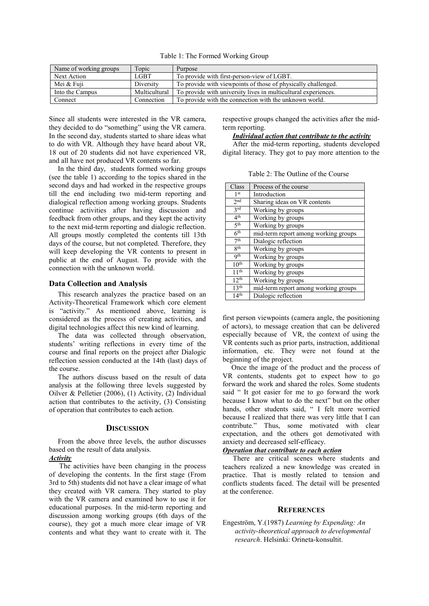Table 1: The Formed Working Group

| Name of working groups | Topic         | Purpose                                                        |
|------------------------|---------------|----------------------------------------------------------------|
| Next Action            | LGBT          | To provide with first-person-view of LGBT.                     |
| Mei & Fuji             | Diversity     | To provide with viewpoints of those of physically challenged.  |
| Into the Campus        | Multicultural | To provide with university lives in multicultural experiences. |
| Connect                | Connection    | To provide with the connection with the unknown world.         |

Since all students were interested in the VR camera, they decided to do "something" using the VR camera. In the second day, students started to share ideas what to do with VR. Although they have heard about VR, 18 out of 20 students did not have experienced VR, and all have not produced VR contents so far.

In the third day, students formed working groups (see the table 1) according to the topics shared in the second days and had worked in the respective groups till the end including two mid-term reporting and dialogical reflection among working groups. Students continue activities after having discussion and feedback from other groups, and they kept the activity to the next mid-term reporting and dialogic reflection. All groups mostly completed the contents till 13th days of the course, but not completed. Therefore, they will keep developing the VR contents to present in public at the end of August. To provide with the connection with the unknown world.

## **Data Collection and Analysis**

This research analyzes the practice based on an Activity-Theoretical Framework which core element is "activity." As mentioned above, learning is considered as the process of creating activities, and digital technologies affect this new kind of learning.

The data was collected through observation, students' writing reflections in every time of the course and final reports on the project after Dialogic reflection session conducted at the 14th (last) days of the course.

The authors discuss based on the result of data analysis at the following three levels suggested by Oilver & Pelletier (2006), (1) Activity, (2) Individual action that contributes to the activity, (3) Consisting of operation that contributes to each action.

#### **DISCUSSION**

From the above three levels, the author discusses based on the result of data analysis.

## *Activity*

The activities have been changing in the process of developing the contents. In the first stage (From 3rd to 5th) students did not have a clear image of what they created with VR camera. They started to play with the VR camera and examined how to use it for educational purposes. In the mid-term reporting and discussion among working groups (6th days of the course), they got a much more clear image of VR contents and what they want to create with it. The respective groups changed the activities after the midterm reporting.

## *Individual action that contribute to the activity*

After the mid-term reporting, students developed digital literacy. They got to pay more attention to the

Table 2: The Outline of the Course

| Class            | Process of the course                |  |
|------------------|--------------------------------------|--|
| 1 <sup>st</sup>  | Introduction                         |  |
| 2 <sub>nd</sub>  | Sharing ideas on VR contents         |  |
| 2rd              | Working by groups                    |  |
| 4 <sup>th</sup>  | Working by groups                    |  |
| 5 <sup>th</sup>  | Working by groups                    |  |
| 6 <sup>th</sup>  | mid-term report among working groups |  |
| 7 <sup>th</sup>  | Dialogic reflection                  |  |
| <b>Rth</b>       | Working by groups                    |  |
| Qth              | Working by groups                    |  |
| 10 <sup>th</sup> | Working by groups                    |  |
| 11 <sup>th</sup> | Working by groups                    |  |
| $12^{th}$        | Working by groups                    |  |
| 13 <sup>th</sup> | mid-term report among working groups |  |
| 14 <sup>th</sup> | Dialogic reflection                  |  |

first person viewpoints (camera angle, the positioning of actors), to message creation that can be delivered especially because of VR, the context of using the VR contents such as prior parts, instruction, additional information, etc. They were not found at the beginning of the project.

Once the image of the product and the process of VR contents, students got to expect how to go forward the work and shared the roles. Some students said " It got easier for me to go forward the work because I know what to do the next" but on the other hands, other students said, " I felt more worried because I realized that there was very little that I can contribute." Thus, some motivated with clear expectation, and the others got demotivated with anxiety and decreased self-efficacy.

## *Operation that contribute to each action*

There are critical scenes where students and teachers realized a new knowledge was created in practice. That is mostly related to tension and conflicts students faced. The detail will be presented at the conference.

# **REFERENCES**

Engeström, Y.(1987) *Learning by Expending: An activity-theoretical approach to developmental research*. Helsinki: Orineta-konsultit.